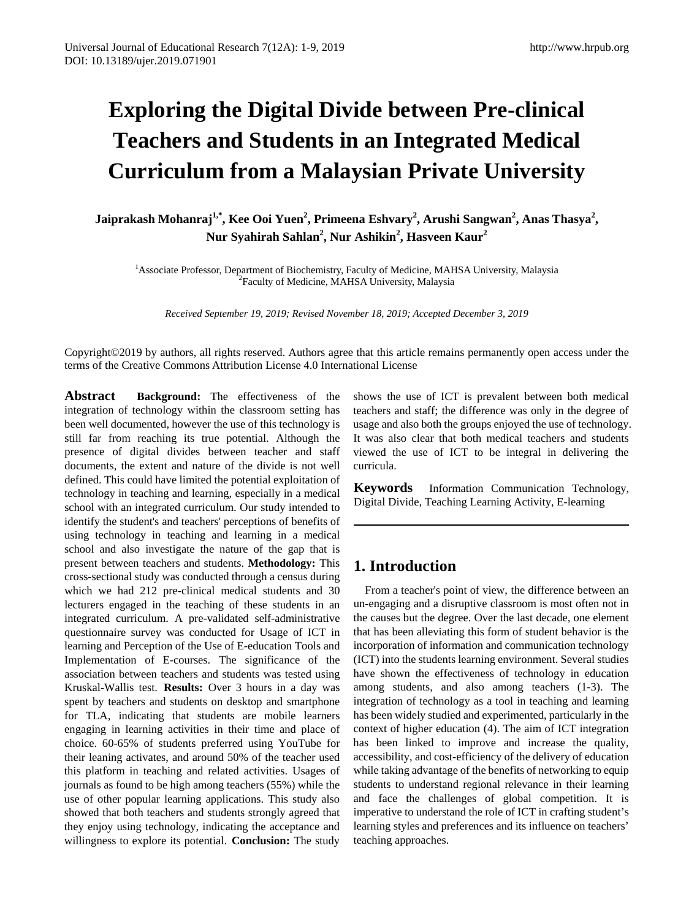# **Exploring the Digital Divide between Pre-clinical Teachers and Students in an Integrated Medical Curriculum from a Malaysian Private University**

**Jaiprakash Mohanraj1,\*, Kee Ooi Yuen<sup>2</sup> , Primeena Eshvary<sup>2</sup> , Arushi Sangwan<sup>2</sup> , Anas Thasya<sup>2</sup> , Nur Syahirah Sahlan2 , Nur Ashikin<sup>2</sup> , Hasveen Kaur2**

<sup>1</sup> Associate Professor, Department of Biochemistry, Faculty of Medicine, MAHSA University, Malaysia <sup>2</sup>Faculty of Medicine, MAHSA University, Malaysia

*Received September 19, 2019; Revised November 18, 2019; Accepted December 3, 2019* 

Copyright©2019 by authors, all rights reserved. Authors agree that this article remains permanently open access under the terms of the Creative Commons Attribution License 4.0 International License

**Abstract Background:** The effectiveness of the integration of technology within the classroom setting has been well documented, however the use of this technology is still far from reaching its true potential. Although the presence of digital divides between teacher and staff documents, the extent and nature of the divide is not well defined. This could have limited the potential exploitation of technology in teaching and learning, especially in a medical school with an integrated curriculum. Our study intended to identify the student's and teachers' perceptions of benefits of using technology in teaching and learning in a medical school and also investigate the nature of the gap that is present between teachers and students. **Methodology:** This cross-sectional study was conducted through a census during which we had 212 pre-clinical medical students and 30 lecturers engaged in the teaching of these students in an integrated curriculum. A pre-validated self-administrative questionnaire survey was conducted for Usage of ICT in learning and Perception of the Use of E-education Tools and Implementation of E-courses. The significance of the association between teachers and students was tested using Kruskal-Wallis test. **Results:** Over 3 hours in a day was spent by teachers and students on desktop and smartphone for TLA, indicating that students are mobile learners engaging in learning activities in their time and place of choice. 60-65% of students preferred using YouTube for their leaning activates, and around 50% of the teacher used this platform in teaching and related activities. Usages of journals as found to be high among teachers (55%) while the use of other popular learning applications. This study also showed that both teachers and students strongly agreed that they enjoy using technology, indicating the acceptance and willingness to explore its potential. **Conclusion:** The study

shows the use of ICT is prevalent between both medical teachers and staff; the difference was only in the degree of usage and also both the groups enjoyed the use of technology. It was also clear that both medical teachers and students viewed the use of ICT to be integral in delivering the curricula.

**Keywords** Information Communication Technology, Digital Divide, Teaching Learning Activity, E-learning

# **1. Introduction**

From a teacher's point of view, the difference between an un-engaging and a disruptive classroom is most often not in the causes but the degree. Over the last decade, one element that has been alleviating this form of student behavior is the incorporation of information and communication technology (ICT) into the students learning environment. Several studies have shown the effectiveness of technology in education among students, and also among teachers (1-3). The integration of technology as a tool in teaching and learning has been widely studied and experimented, particularly in the context of higher education (4). The aim of ICT integration has been linked to improve and increase the quality, accessibility, and cost-efficiency of the delivery of education while taking advantage of the benefits of networking to equip students to understand regional relevance in their learning and face the challenges of global competition. It is imperative to understand the role of ICT in crafting student's learning styles and preferences and its influence on teachers' teaching approaches.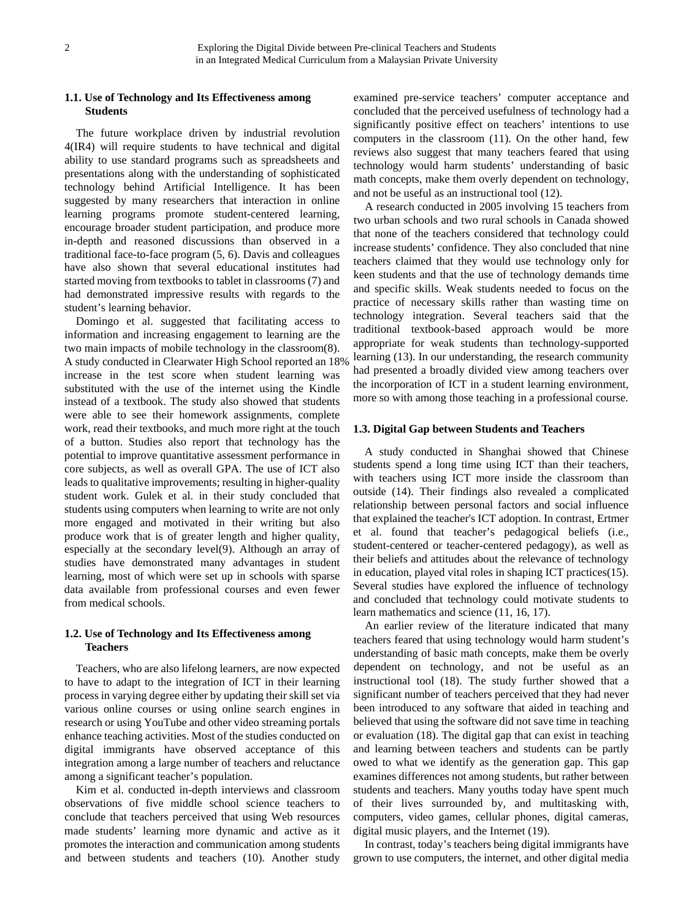## **1.1. Use of Technology and Its Effectiveness among Students**

The future workplace driven by industrial revolution 4(IR4) will require students to have technical and digital ability to use standard programs such as spreadsheets and presentations along with the understanding of sophisticated technology behind Artificial Intelligence. It has been suggested by many researchers that interaction in online learning programs promote student-centered learning, encourage broader student participation, and produce more in-depth and reasoned discussions than observed in a traditional face-to-face program (5, 6). Davis and colleagues have also shown that several educational institutes had started moving from textbooks to tablet in classrooms (7) and had demonstrated impressive results with regards to the student's learning behavior.

Domingo et al. suggested that facilitating access to information and increasing engagement to learning are the two main impacts of mobile technology in the classroom(8). A study conducted in Clearwater High School reported an 18% increase in the test score when student learning was substituted with the use of the internet using the Kindle instead of a textbook. The study also showed that students were able to see their homework assignments, complete work, read their textbooks, and much more right at the touch of a button. Studies also report that technology has the potential to improve quantitative assessment performance in core subjects, as well as overall GPA. The use of ICT also leads to qualitative improvements; resulting in higher-quality student work. Gulek et al. in their study concluded that students using computers when learning to write are not only more engaged and motivated in their writing but also produce work that is of greater length and higher quality, especially at the secondary level(9). Although an array of studies have demonstrated many advantages in student learning, most of which were set up in schools with sparse data available from professional courses and even fewer from medical schools.

### **1.2. Use of Technology and Its Effectiveness among Teachers**

Teachers, who are also lifelong learners, are now expected to have to adapt to the integration of ICT in their learning process in varying degree either by updating their skill set via various online courses or using online search engines in research or using YouTube and other video streaming portals enhance teaching activities. Most of the studies conducted on digital immigrants have observed acceptance of this integration among a large number of teachers and reluctance among a significant teacher's population.

Kim et al. conducted in-depth interviews and classroom observations of five middle school science teachers to conclude that teachers perceived that using Web resources made students' learning more dynamic and active as it promotes the interaction and communication among students and between students and teachers (10). Another study examined pre-service teachers' computer acceptance and concluded that the perceived usefulness of technology had a significantly positive effect on teachers' intentions to use computers in the classroom (11). On the other hand, few reviews also suggest that many teachers feared that using technology would harm students' understanding of basic math concepts, make them overly dependent on technology, and not be useful as an instructional tool (12).

A research conducted in 2005 involving 15 teachers from two urban schools and two rural schools in Canada showed that none of the teachers considered that technology could increase students' confidence. They also concluded that nine teachers claimed that they would use technology only for keen students and that the use of technology demands time and specific skills. Weak students needed to focus on the practice of necessary skills rather than wasting time on technology integration. Several teachers said that the traditional textbook-based approach would be more appropriate for weak students than technology-supported learning (13). In our understanding, the research community had presented a broadly divided view among teachers over the incorporation of ICT in a student learning environment, more so with among those teaching in a professional course.

#### **1.3. Digital Gap between Students and Teachers**

A study conducted in Shanghai showed that Chinese students spend a long time using ICT than their teachers, with teachers using ICT more inside the classroom than outside (14). Their findings also revealed a complicated relationship between personal factors and social influence that explained the teacher's ICT adoption. In contrast, Ertmer et al. found that teacher's pedagogical beliefs (i.e., student-centered or teacher-centered pedagogy), as well as their beliefs and attitudes about the relevance of technology in education, played vital roles in shaping ICT practices(15). Several studies have explored the influence of technology and concluded that technology could motivate students to learn mathematics and science (11, 16, 17).

An earlier review of the literature indicated that many teachers feared that using technology would harm student's understanding of basic math concepts, make them be overly dependent on technology, and not be useful as an instructional tool (18). The study further showed that a significant number of teachers perceived that they had never been introduced to any software that aided in teaching and believed that using the software did not save time in teaching or evaluation (18). The digital gap that can exist in teaching and learning between teachers and students can be partly owed to what we identify as the generation gap. This gap examines differences not among students, but rather between students and teachers. Many youths today have spent much of their lives surrounded by, and multitasking with, computers, video games, cellular phones, digital cameras, digital music players, and the Internet (19).

In contrast, today's teachers being digital immigrants have grown to use computers, the internet, and other digital media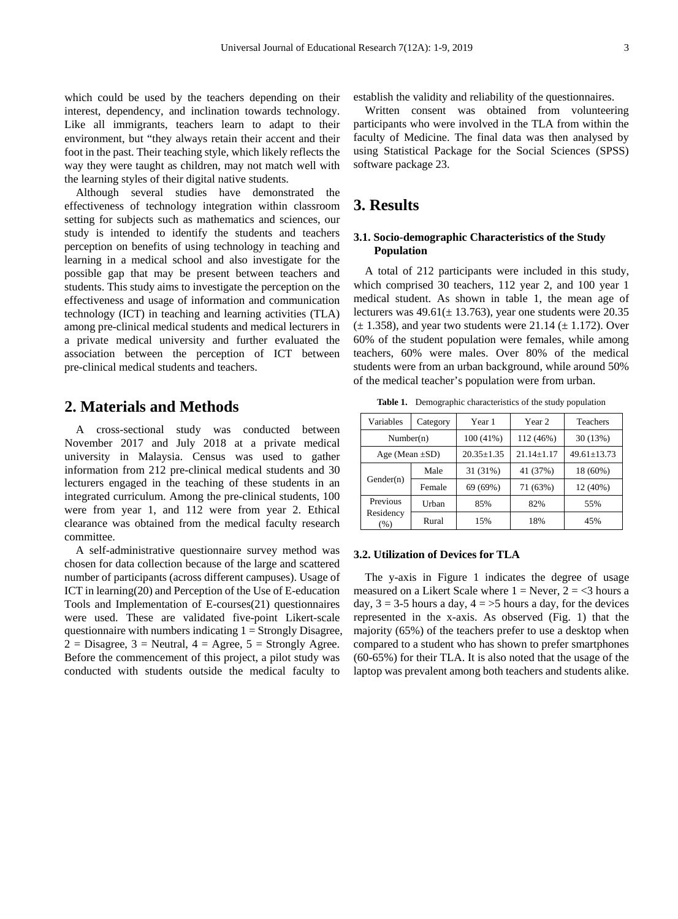which could be used by the teachers depending on their interest, dependency, and inclination towards technology. Like all immigrants, teachers learn to adapt to their environment, but "they always retain their accent and their foot in the past. Their teaching style, which likely reflects the way they were taught as children, may not match well with the learning styles of their digital native students.

Although several studies have demonstrated the effectiveness of technology integration within classroom setting for subjects such as mathematics and sciences, our study is intended to identify the students and teachers perception on benefits of using technology in teaching and learning in a medical school and also investigate for the possible gap that may be present between teachers and students. This study aims to investigate the perception on the effectiveness and usage of information and communication technology (ICT) in teaching and learning activities (TLA) among pre-clinical medical students and medical lecturers in a private medical university and further evaluated the association between the perception of ICT between pre-clinical medical students and teachers.

# **2. Materials and Methods**

A cross-sectional study was conducted between November 2017 and July 2018 at a private medical university in Malaysia. Census was used to gather information from 212 pre-clinical medical students and 30 lecturers engaged in the teaching of these students in an integrated curriculum. Among the pre-clinical students, 100 were from year 1, and 112 were from year 2. Ethical clearance was obtained from the medical faculty research committee.

A self-administrative questionnaire survey method was chosen for data collection because of the large and scattered number of participants (across different campuses). Usage of ICT in learning(20) and Perception of the Use of E-education Tools and Implementation of E-courses(21) questionnaires were used. These are validated five-point Likert-scale questionnaire with numbers indicating  $1 =$  Strongly Disagree,  $2 = Disagree, 3 = Neutral, 4 = Agree, 5 = Strongly Agree.$ Before the commencement of this project, a pilot study was conducted with students outside the medical faculty to

establish the validity and reliability of the questionnaires.

Written consent was obtained from volunteering participants who were involved in the TLA from within the faculty of Medicine. The final data was then analysed by using Statistical Package for the Social Sciences (SPSS) software package 23.

# **3. Results**

## **3.1. Socio-demographic Characteristics of the Study Population**

A total of 212 participants were included in this study, which comprised 30 teachers, 112 year 2, and 100 year 1 medical student. As shown in table 1, the mean age of lecturers was  $49.61(\pm 13.763)$ , year one students were 20.35  $(\pm 1.358)$ , and year two students were 21.14  $(\pm 1.172)$ . Over 60% of the student population were females, while among teachers, 60% were males. Over 80% of the medical students were from an urban background, while around 50% of the medical teacher's population were from urban.

**Table 1.** Demographic characteristics of the study population

| Variables            | Category | Year 1           | Year 2           | <b>Teachers</b>   |  |
|----------------------|----------|------------------|------------------|-------------------|--|
| Number(n)            |          | 100 (41%)        | 112 (46%)        | 30(13%)           |  |
| Age (Mean $\pm SD$ ) |          | $20.35 \pm 1.35$ | $21.14 \pm 1.17$ | $49.61 \pm 13.73$ |  |
| Gender(n)            | Male     | 31 (31%)         | 41 (37%)         | 18 (60%)          |  |
|                      | Female   | 69 (69%)         | 71 (63%)         | $12(40\%)$        |  |
| Previous             | Urban    | 85%              | 82%              | 55%               |  |
| Residency<br>(% )    | Rural    | 15%              | 18%              | 45%               |  |

#### **3.2. Utilization of Devices for TLA**

The y-axis in Figure 1 indicates the degree of usage measured on a Likert Scale where  $1 =$  Never,  $2 =$  <3 hours a day,  $3 = 3-5$  hours a day,  $4 = 5$  hours a day, for the devices represented in the x-axis. As observed (Fig. 1) that the majority (65%) of the teachers prefer to use a desktop when compared to a student who has shown to prefer smartphones (60-65%) for their TLA. It is also noted that the usage of the laptop was prevalent among both teachers and students alike.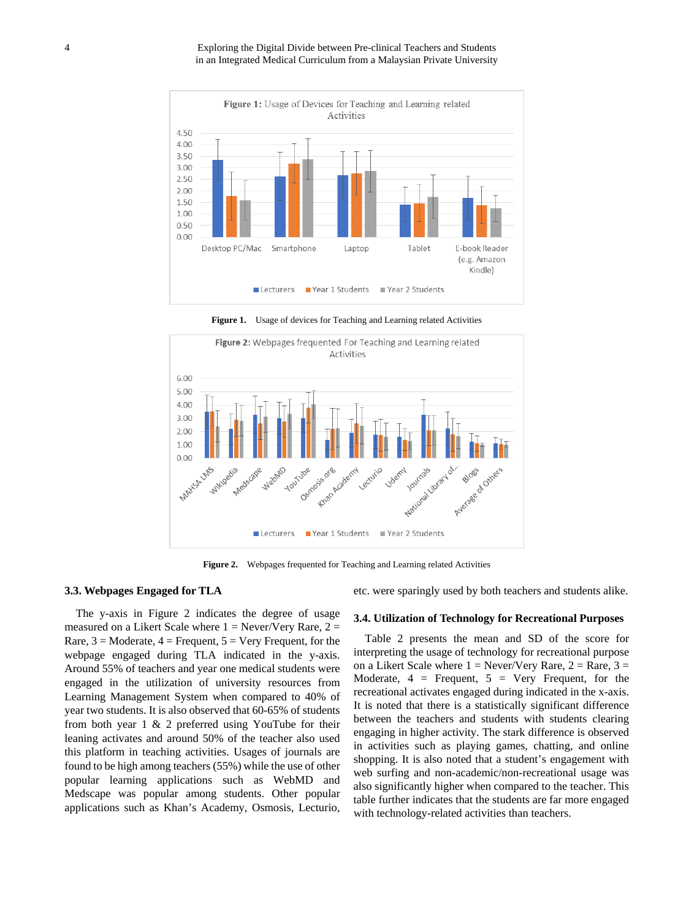4 Exploring the Digital Divide between Pre-clinical Teachers and Students in an Integrated Medical Curriculum from a Malaysian Private University



**Figure 1.** Usage of devices for Teaching and Learning related Activities



**Figure 2.** Webpages frequented for Teaching and Learning related Activities

#### **3.3. Webpages Engaged for TLA**

The y-axis in Figure 2 indicates the degree of usage measured on a Likert Scale where  $1 =$  Never/Very Rare,  $2 =$ Rare,  $3 =$  Moderate,  $4 =$  Frequent,  $5 =$  Very Frequent, for the webpage engaged during TLA indicated in the y-axis. Around 55% of teachers and year one medical students were engaged in the utilization of university resources from Learning Management System when compared to 40% of year two students. It is also observed that 60-65% of students from both year 1 & 2 preferred using YouTube for their leaning activates and around 50% of the teacher also used this platform in teaching activities. Usages of journals are found to be high among teachers (55%) while the use of other popular learning applications such as WebMD and Medscape was popular among students. Other popular applications such as Khan's Academy, Osmosis, Lecturio,

etc. were sparingly used by both teachers and students alike.

#### **3.4. Utilization of Technology for Recreational Purposes**

Table 2 presents the mean and SD of the score for interpreting the usage of technology for recreational purpose on a Likert Scale where  $1 =$  Never/Very Rare,  $2 =$  Rare,  $3 =$ Moderate,  $4 =$  Frequent,  $5 =$  Very Frequent, for the recreational activates engaged during indicated in the x-axis. It is noted that there is a statistically significant difference between the teachers and students with students clearing engaging in higher activity. The stark difference is observed in activities such as playing games, chatting, and online shopping. It is also noted that a student's engagement with web surfing and non-academic/non-recreational usage was also significantly higher when compared to the teacher. This table further indicates that the students are far more engaged with technology-related activities than teachers.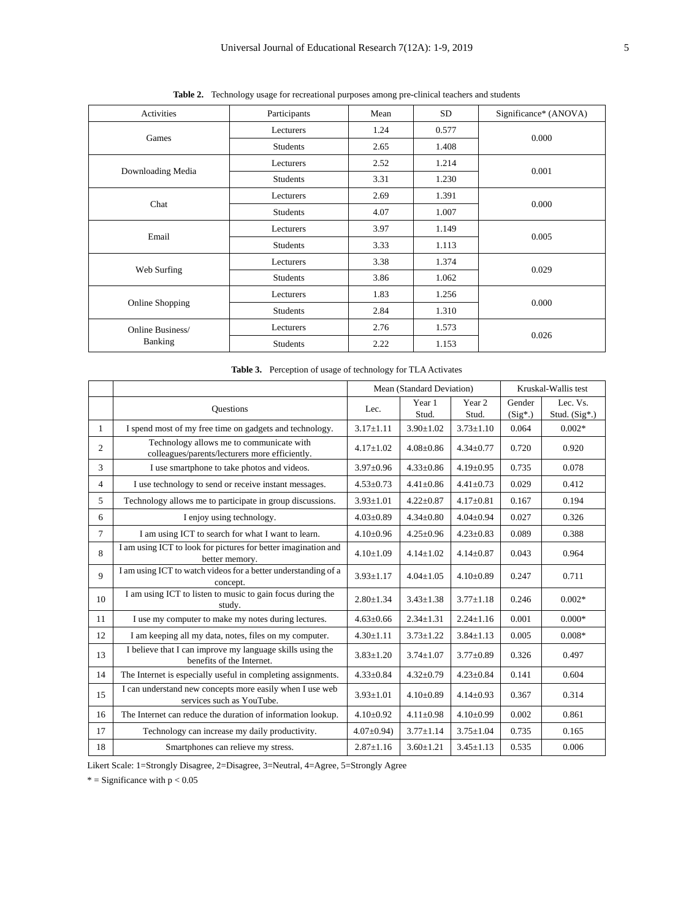| Activities        | Participants    | Mean | <b>SD</b> | Significance* (ANOVA) |  |
|-------------------|-----------------|------|-----------|-----------------------|--|
|                   | Lecturers       | 1.24 | 0.577     |                       |  |
| Games             | <b>Students</b> | 2.65 | 1.408     | 0.000                 |  |
|                   | Lecturers       | 2.52 | 1.214     |                       |  |
| Downloading Media | <b>Students</b> | 3.31 | 1.230     | 0.001                 |  |
| Chat              | Lecturers       | 2.69 | 1.391     |                       |  |
|                   | <b>Students</b> | 4.07 | 1.007     | 0.000                 |  |
| Email             | Lecturers       | 3.97 | 1.149     |                       |  |
|                   | <b>Students</b> | 3.33 | 1.113     | 0.005                 |  |
| Web Surfing       | Lecturers       | 3.38 | 1.374     | 0.029                 |  |
|                   | Students        | 3.86 | 1.062     |                       |  |
|                   | Lecturers       | 1.83 | 1.256     | 0.000                 |  |
| Online Shopping   | <b>Students</b> | 2.84 | 1.310     |                       |  |
| Online Business/  | Lecturers       | 2.76 | 1.573     |                       |  |
| <b>Banking</b>    | <b>Students</b> | 2.22 | 1.153     | 0.026                 |  |

**Table 2.** Technology usage for recreational purposes among pre-clinical teachers and students

|  |  |  |  | Table 3. Perception of usage of technology for TLA Activates |
|--|--|--|--|--------------------------------------------------------------|
|--|--|--|--|--------------------------------------------------------------|

|                |                                                                                            | Mean (Standard Deviation) |                 | Kruskal-Wallis test |           |                 |
|----------------|--------------------------------------------------------------------------------------------|---------------------------|-----------------|---------------------|-----------|-----------------|
|                | <b>Ouestions</b>                                                                           | Lec.                      | Year 1          | Year 2              | Gender    | Lec. Vs.        |
|                |                                                                                            |                           | Stud.           | Stud.               | $(Sig^*)$ | Stud. $(Sig^*)$ |
| 1              | I spend most of my free time on gadgets and technology.                                    | $3.17 \pm 1.11$           | $3.90 \pm 1.02$ | $3.73 \pm 1.10$     | 0.064     | $0.002*$        |
| $\overline{2}$ | Technology allows me to communicate with<br>colleagues/parents/lecturers more efficiently. | $4.17+1.02$               | $4.08 + 0.86$   | $4.34 \pm 0.77$     | 0.720     | 0.920           |
| 3              | I use smartphone to take photos and videos.                                                | $3.97 \pm 0.96$           | $4.33 \pm 0.86$ | $4.19 \pm 0.95$     | 0.735     | 0.078           |
| $\overline{4}$ | I use technology to send or receive instant messages.                                      | $4.53 \pm 0.73$           | $4.41 \pm 0.86$ | $4.41 \pm 0.73$     | 0.029     | 0.412           |
| 5              | Technology allows me to participate in group discussions.                                  | $3.93 \pm 1.01$           | $4.22 \pm 0.87$ | $4.17 \pm 0.81$     | 0.167     | 0.194           |
| 6              | I enjoy using technology.                                                                  | $4.03 \pm 0.89$           | $4.34 \pm 0.80$ | $4.04 \pm 0.94$     | 0.027     | 0.326           |
| $\tau$         | I am using ICT to search for what I want to learn.                                         | $4.10 \pm 0.96$           | $4.25 \pm 0.96$ | $4.23 \pm 0.83$     | 0.089     | 0.388           |
| 8              | I am using ICT to look for pictures for better imagination and<br>better memory.           | $4.10 \pm 1.09$           | $4.14 \pm 1.02$ | $4.14 \pm 0.87$     | 0.043     | 0.964           |
| $\mathbf{Q}$   | I am using ICT to watch videos for a better understanding of a<br>concept.                 | $3.93 \pm 1.17$           | $4.04 \pm 1.05$ | $4.10 \pm 0.89$     | 0.247     | 0.711           |
| 10             | I am using ICT to listen to music to gain focus during the<br>study.                       | $2.80 \pm 1.34$           | $3.43 \pm 1.38$ | $3.77 \pm 1.18$     | 0.246     | $0.002*$        |
| 11             | I use my computer to make my notes during lectures.                                        | $4.63 \pm 0.66$           | $2.34 \pm 1.31$ | $2.24 \pm 1.16$     | 0.001     | $0.000*$        |
| 12             | I am keeping all my data, notes, files on my computer.                                     | $4.30 \pm 1.11$           | $3.73 \pm 1.22$ | $3.84 \pm 1.13$     | 0.005     | $0.008*$        |
| 13             | I believe that I can improve my language skills using the<br>benefits of the Internet.     | $3.83 \pm 1.20$           | $3.74 \pm 1.07$ | $3.77 \pm 0.89$     | 0.326     | 0.497           |
| 14             | The Internet is especially useful in completing assignments.                               | $4.33 \pm 0.84$           | $4.32 \pm 0.79$ | $4.23 \pm 0.84$     | 0.141     | 0.604           |
| 15             | I can understand new concepts more easily when I use web<br>services such as YouTube.      | $3.93 \pm 1.01$           | $4.10 \pm 0.89$ | $4.14 \pm 0.93$     | 0.367     | 0.314           |
| 16             | The Internet can reduce the duration of information lookup.                                | $4.10 \pm 0.92$           | $4.11 \pm 0.98$ | $4.10\pm0.99$       | 0.002     | 0.861           |
| 17             | Technology can increase my daily productivity.                                             | $4.07 \pm 0.94$ )         | $3.77 \pm 1.14$ | $3.75 \pm 1.04$     | 0.735     | 0.165           |
| 18             | Smartphones can relieve my stress.                                                         | $2.87 \pm 1.16$           | $3.60 \pm 1.21$ | $3.45 \pm 1.13$     | 0.535     | 0.006           |

Likert Scale: 1=Strongly Disagree, 2=Disagree, 3=Neutral, 4=Agree, 5=Strongly Agree

 $*$  = Significance with  $p < 0.05$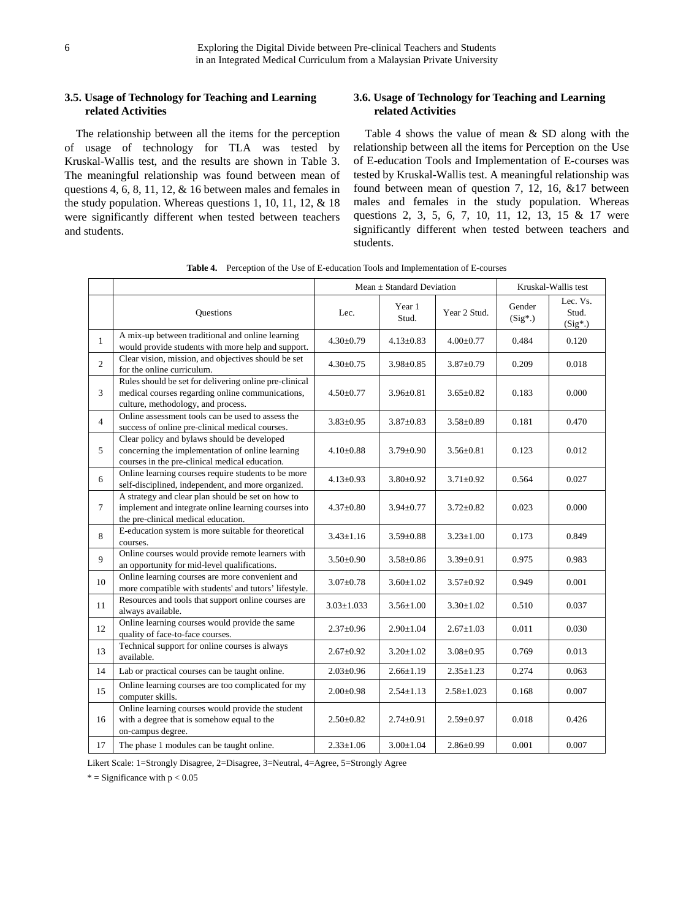## **3.5. Usage of Technology for Teaching and Learning related Activities**

The relationship between all the items for the perception of usage of technology for TLA was tested by Kruskal-Wallis test, and the results are shown in Table 3. The meaningful relationship was found between mean of questions 4, 6, 8, 11, 12, & 16 between males and females in the study population. Whereas questions 1, 10, 11, 12, & 18 were significantly different when tested between teachers and students.

## **3.6. Usage of Technology for Teaching and Learning related Activities**

Table 4 shows the value of mean & SD along with the relationship between all the items for Perception on the Use of E-education Tools and Implementation of E-courses was tested by Kruskal-Wallis test. A meaningful relationship was found between mean of question 7, 12, 16, &17 between males and females in the study population. Whereas questions 2, 3, 5, 6, 7, 10, 11, 12, 13, 15 & 17 were significantly different when tested between teachers and students.

|                |                                                                                                                                                   | Mean $\pm$ Standard Deviation |                 |                  | Kruskal-Wallis test |                                |  |
|----------------|---------------------------------------------------------------------------------------------------------------------------------------------------|-------------------------------|-----------------|------------------|---------------------|--------------------------------|--|
|                | Questions                                                                                                                                         | Lec.                          | Year 1<br>Stud. | Year 2 Stud.     | Gender<br>$(Sig^*)$ | Lec. Vs.<br>Stud.<br>$(Sig^*)$ |  |
| 1              | A mix-up between traditional and online learning<br>would provide students with more help and support.                                            | $4.30 \pm 0.79$               | $4.13 \pm 0.83$ | $4.00 \pm 0.77$  | 0.484               | 0.120                          |  |
| 2              | Clear vision, mission, and objectives should be set<br>for the online curriculum.                                                                 | $4.30 \pm 0.75$               | $3.98 \pm 0.85$ | $3.87 \pm 0.79$  | 0.209               | 0.018                          |  |
| 3              | Rules should be set for delivering online pre-clinical<br>medical courses regarding online communications,<br>culture, methodology, and process.  | $4.50 \pm 0.77$               | $3.96 \pm 0.81$ | $3.65 \pm 0.82$  | 0.183               | 0.000                          |  |
| $\overline{4}$ | Online assessment tools can be used to assess the<br>success of online pre-clinical medical courses.                                              | $3.83 \pm 0.95$               | $3.87 \pm 0.83$ | $3.58 \pm 0.89$  | 0.181               | 0.470                          |  |
| 5              | Clear policy and bylaws should be developed<br>concerning the implementation of online learning<br>courses in the pre-clinical medical education. | $4.10{\pm}0.88$               | $3.79 \pm 0.90$ | $3.56 \pm 0.81$  | 0.123               | 0.012                          |  |
| 6              | Online learning courses require students to be more<br>self-disciplined, independent, and more organized.                                         | $4.13 \pm 0.93$               | $3.80 \pm 0.92$ | $3.71 \pm 0.92$  | 0.564               | 0.027                          |  |
| $\tau$         | A strategy and clear plan should be set on how to<br>implement and integrate online learning courses into<br>the pre-clinical medical education.  | $4.37 \pm 0.80$               | $3.94 \pm 0.77$ | $3.72 \pm 0.82$  | 0.023               | 0.000                          |  |
| 8              | E-education system is more suitable for theoretical<br>courses.                                                                                   | $3.43 \pm 1.16$               | $3.59 \pm 0.88$ | $3.23 \pm 1.00$  | 0.173               | 0.849                          |  |
| 9              | Online courses would provide remote learners with<br>an opportunity for mid-level qualifications.                                                 | $3.50 \pm 0.90$               | $3.58 \pm 0.86$ | $3.39 \pm 0.91$  | 0.975               | 0.983                          |  |
| $10\,$         | Online learning courses are more convenient and<br>more compatible with students' and tutors' lifestyle.                                          | $3.07 \pm 0.78$               | $3.60 \pm 1.02$ | $3.57 \pm 0.92$  | 0.949               | 0.001                          |  |
| 11             | Resources and tools that support online courses are<br>always available.                                                                          | $3.03 \pm 1.033$              | $3.56 \pm 1.00$ | $3.30 \pm 1.02$  | 0.510               | 0.037                          |  |
| 12             | Online learning courses would provide the same<br>quality of face-to-face courses.                                                                | $2.37 \pm 0.96$               | $2.90 \pm 1.04$ | $2.67 \pm 1.03$  | 0.011               | 0.030                          |  |
| 13             | Technical support for online courses is always<br>available.                                                                                      | $2.67 \pm 0.92$               | $3.20 \pm 1.02$ | $3.08 \pm 0.95$  | 0.769               | 0.013                          |  |
| 14             | Lab or practical courses can be taught online.                                                                                                    | $2.03 \pm 0.96$               | $2.66 \pm 1.19$ | $2.35 \pm 1.23$  | 0.274               | 0.063                          |  |
| 15             | Online learning courses are too complicated for my<br>computer skills.                                                                            | $2.00 \pm 0.98$               | $2.54 \pm 1.13$ | $2.58 \pm 1.023$ | 0.168               | 0.007                          |  |
| 16             | Online learning courses would provide the student<br>with a degree that is somehow equal to the<br>on-campus degree.                              | $2.50 \pm 0.82$               | $2.74 \pm 0.91$ | $2.59 \pm 0.97$  | 0.018               | 0.426                          |  |
| 17             | The phase 1 modules can be taught online.                                                                                                         | $2.33 \pm 1.06$               | $3.00 \pm 1.04$ | $2.86 \pm 0.99$  | 0.001               | 0.007                          |  |

**Table 4.** Perception of the Use of E-education Tools and Implementation of E-courses

Likert Scale: 1=Strongly Disagree, 2=Disagree, 3=Neutral, 4=Agree, 5=Strongly Agree

 $*$  = Significance with  $p < 0.05$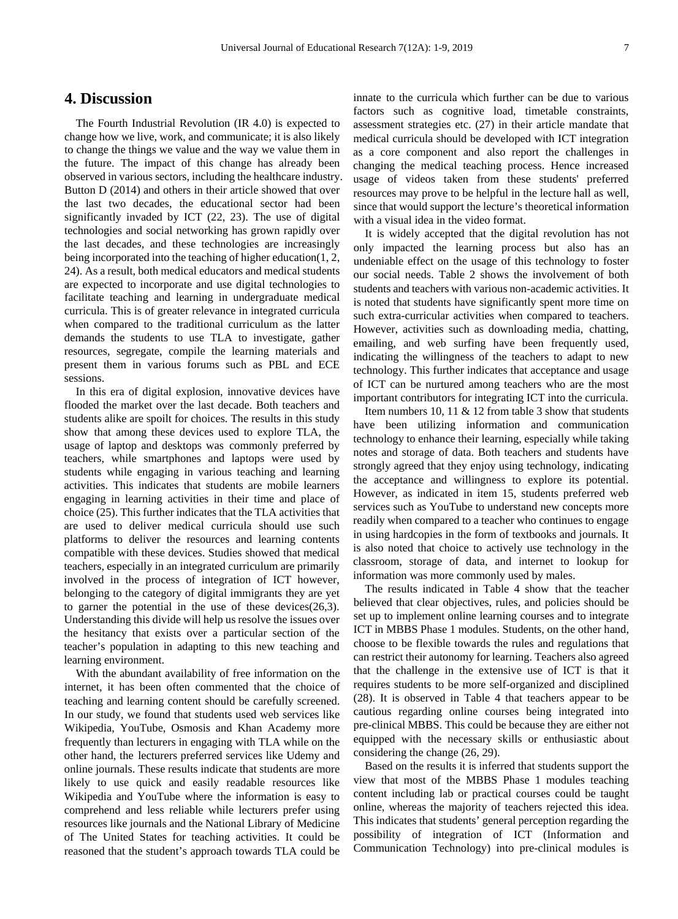# **4. Discussion**

The Fourth Industrial Revolution (IR 4.0) is expected to change how we live, work, and communicate; it is also likely to change the things we value and the way we value them in the future. The impact of this change has already been observed in various sectors, including the healthcare industry. Button D (2014) and others in their article showed that over the last two decades, the educational sector had been significantly invaded by ICT (22, 23). The use of digital technologies and social networking has grown rapidly over the last decades, and these technologies are increasingly being incorporated into the teaching of higher education(1, 2, 24). As a result, both medical educators and medical students are expected to incorporate and use digital technologies to facilitate teaching and learning in undergraduate medical curricula. This is of greater relevance in integrated curricula when compared to the traditional curriculum as the latter demands the students to use TLA to investigate, gather resources, segregate, compile the learning materials and present them in various forums such as PBL and ECE sessions.

In this era of digital explosion, innovative devices have flooded the market over the last decade. Both teachers and students alike are spoilt for choices. The results in this study show that among these devices used to explore TLA, the usage of laptop and desktops was commonly preferred by teachers, while smartphones and laptops were used by students while engaging in various teaching and learning activities. This indicates that students are mobile learners engaging in learning activities in their time and place of choice (25). This further indicates that the TLA activities that are used to deliver medical curricula should use such platforms to deliver the resources and learning contents compatible with these devices. Studies showed that medical teachers, especially in an integrated curriculum are primarily involved in the process of integration of ICT however, belonging to the category of digital immigrants they are yet to garner the potential in the use of these devices(26,3). Understanding this divide will help us resolve the issues over the hesitancy that exists over a particular section of the teacher's population in adapting to this new teaching and learning environment.

With the abundant availability of free information on the internet, it has been often commented that the choice of teaching and learning content should be carefully screened. In our study, we found that students used web services like Wikipedia, YouTube, Osmosis and Khan Academy more frequently than lecturers in engaging with TLA while on the other hand, the lecturers preferred services like Udemy and online journals. These results indicate that students are more likely to use quick and easily readable resources like Wikipedia and YouTube where the information is easy to comprehend and less reliable while lecturers prefer using resources like journals and the National Library of Medicine of The United States for teaching activities. It could be reasoned that the student's approach towards TLA could be

innate to the curricula which further can be due to various factors such as cognitive load, timetable constraints, assessment strategies etc. (27) in their article mandate that medical curricula should be developed with ICT integration as a core component and also report the challenges in changing the medical teaching process. Hence increased usage of videos taken from these students' preferred resources may prove to be helpful in the lecture hall as well, since that would support the lecture's theoretical information with a visual idea in the video format.

It is widely accepted that the digital revolution has not only impacted the learning process but also has an undeniable effect on the usage of this technology to foster our social needs. Table 2 shows the involvement of both students and teachers with various non-academic activities. It is noted that students have significantly spent more time on such extra-curricular activities when compared to teachers. However, activities such as downloading media, chatting, emailing, and web surfing have been frequently used, indicating the willingness of the teachers to adapt to new technology. This further indicates that acceptance and usage of ICT can be nurtured among teachers who are the most important contributors for integrating ICT into the curricula.

Item numbers 10, 11 & 12 from table 3 show that students have been utilizing information and communication technology to enhance their learning, especially while taking notes and storage of data. Both teachers and students have strongly agreed that they enjoy using technology, indicating the acceptance and willingness to explore its potential. However, as indicated in item 15, students preferred web services such as YouTube to understand new concepts more readily when compared to a teacher who continues to engage in using hardcopies in the form of textbooks and journals. It is also noted that choice to actively use technology in the classroom, storage of data, and internet to lookup for information was more commonly used by males.

The results indicated in Table 4 show that the teacher believed that clear objectives, rules, and policies should be set up to implement online learning courses and to integrate ICT in MBBS Phase 1 modules. Students, on the other hand, choose to be flexible towards the rules and regulations that can restrict their autonomy for learning. Teachers also agreed that the challenge in the extensive use of ICT is that it requires students to be more self-organized and disciplined (28). It is observed in Table 4 that teachers appear to be cautious regarding online courses being integrated into pre-clinical MBBS. This could be because they are either not equipped with the necessary skills or enthusiastic about considering the change (26, 29).

Based on the results it is inferred that students support the view that most of the MBBS Phase 1 modules teaching content including lab or practical courses could be taught online, whereas the majority of teachers rejected this idea. This indicates that students' general perception regarding the possibility of integration of ICT (Information and Communication Technology) into pre-clinical modules is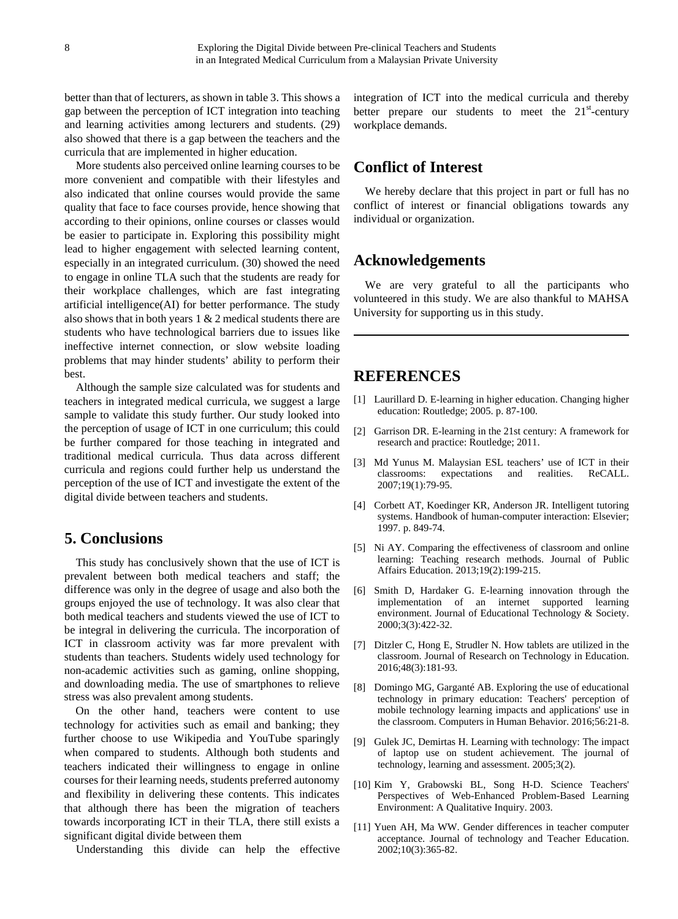better than that of lecturers, as shown in table 3. This shows a gap between the perception of ICT integration into teaching and learning activities among lecturers and students. (29) also showed that there is a gap between the teachers and the curricula that are implemented in higher education.

More students also perceived online learning courses to be more convenient and compatible with their lifestyles and also indicated that online courses would provide the same quality that face to face courses provide, hence showing that according to their opinions, online courses or classes would be easier to participate in. Exploring this possibility might lead to higher engagement with selected learning content, especially in an integrated curriculum. (30) showed the need to engage in online TLA such that the students are ready for their workplace challenges, which are fast integrating artificial intelligence(AI) for better performance. The study also shows that in both years 1 & 2 medical students there are students who have technological barriers due to issues like ineffective internet connection, or slow website loading problems that may hinder students' ability to perform their best.

Although the sample size calculated was for students and teachers in integrated medical curricula, we suggest a large sample to validate this study further. Our study looked into the perception of usage of ICT in one curriculum; this could be further compared for those teaching in integrated and traditional medical curricula. Thus data across different curricula and regions could further help us understand the perception of the use of ICT and investigate the extent of the digital divide between teachers and students.

## **5. Conclusions**

This study has conclusively shown that the use of ICT is prevalent between both medical teachers and staff; the difference was only in the degree of usage and also both the groups enjoyed the use of technology. It was also clear that both medical teachers and students viewed the use of ICT to be integral in delivering the curricula. The incorporation of ICT in classroom activity was far more prevalent with students than teachers. Students widely used technology for non-academic activities such as gaming, online shopping, and downloading media. The use of smartphones to relieve stress was also prevalent among students.

On the other hand, teachers were content to use technology for activities such as email and banking; they further choose to use Wikipedia and YouTube sparingly when compared to students. Although both students and teachers indicated their willingness to engage in online courses for their learning needs, students preferred autonomy and flexibility in delivering these contents. This indicates that although there has been the migration of teachers towards incorporating ICT in their TLA, there still exists a significant digital divide between them

Understanding this divide can help the effective

integration of ICT into the medical curricula and thereby better prepare our students to meet the  $21<sup>st</sup>$ -century workplace demands.

# **Conflict of Interest**

We hereby declare that this project in part or full has no conflict of interest or financial obligations towards any individual or organization.

## **Acknowledgements**

We are very grateful to all the participants who volunteered in this study. We are also thankful to MAHSA University for supporting us in this study.

# **REFERENCES**

- [1] Laurillard D. E-learning in higher education. Changing higher education: Routledge; 2005. p. 87-100.
- [2] Garrison DR. E-learning in the 21st century: A framework for research and practice: Routledge; 2011.
- [3] Md Yunus M. Malaysian ESL teachers' use of ICT in their classrooms: expectations and realities. ReCALL. 2007;19(1):79-95.
- [4] Corbett AT, Koedinger KR, Anderson JR. Intelligent tutoring systems. Handbook of human-computer interaction: Elsevier; 1997. p. 849-74.
- [5] Ni AY. Comparing the effectiveness of classroom and online learning: Teaching research methods. Journal of Public Affairs Education. 2013;19(2):199-215.
- [6] Smith D, Hardaker G. E-learning innovation through the implementation of an internet supported learning environment. Journal of Educational Technology & Society. 2000;3(3):422-32.
- [7] Ditzler C, Hong E, Strudler N. How tablets are utilized in the classroom. Journal of Research on Technology in Education. 2016;48(3):181-93.
- [8] Domingo MG, Garganté AB. Exploring the use of educational technology in primary education: Teachers' perception of mobile technology learning impacts and applications' use in the classroom. Computers in Human Behavior. 2016;56:21-8.
- [9] Gulek JC, Demirtas H. Learning with technology: The impact of laptop use on student achievement. The journal of technology, learning and assessment. 2005;3(2).
- [10] Kim Y, Grabowski BL, Song H-D. Science Teachers' Perspectives of Web-Enhanced Problem-Based Learning Environment: A Qualitative Inquiry. 2003.
- [11] Yuen AH, Ma WW. Gender differences in teacher computer acceptance. Journal of technology and Teacher Education. 2002;10(3):365-82.